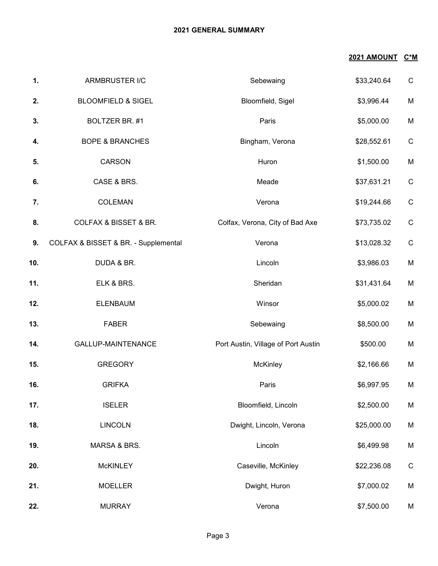## **2021 GENERAL SUMMARY**

## **2021 AMOUNT C\*M**

| 1.  | ARMBRUSTER I/C                       | Sebewaing                           | \$33,240.64 | $\mathsf C$  |
|-----|--------------------------------------|-------------------------------------|-------------|--------------|
| 2.  | <b>BLOOMFIELD &amp; SIGEL</b>        | Bloomfield, Sigel                   | \$3,996.44  | M            |
| 3.  | BOLTZER BR. #1                       | Paris                               | \$5,000.00  | M            |
| 4.  | <b>BOPE &amp; BRANCHES</b>           | Bingham, Verona                     | \$28,552.61 | $\mathsf C$  |
| 5.  | CARSON                               | Huron                               | \$1,500.00  | M            |
| 6.  | CASE & BRS.                          | Meade                               | \$37,631.21 | $\mathsf C$  |
| 7.  | <b>COLEMAN</b>                       | Verona                              | \$19,244.66 | $\mathsf{C}$ |
| 8.  | <b>COLFAX &amp; BISSET &amp; BR.</b> | Colfax, Verona, City of Bad Axe     | \$73,735.02 | $\mathsf C$  |
| 9.  | COLFAX & BISSET & BR. - Supplemental | Verona                              | \$13,028.32 | $\mathsf C$  |
| 10. | DUDA & BR.                           | Lincoln                             | \$3,986.03  | M            |
| 11. | ELK & BRS.                           | Sheridan                            | \$31,431.64 | M            |
| 12. | <b>ELENBAUM</b>                      | Winsor                              | \$5,000.02  | M            |
| 13. | <b>FABER</b>                         | Sebewaing                           | \$8,500.00  | M            |
| 14. | GALLUP-MAINTENANCE                   | Port Austin, Village of Port Austin | \$500.00    | M            |
| 15. | <b>GREGORY</b>                       | McKinley                            | \$2,166.66  | M            |
| 16. | <b>GRIFKA</b>                        | Paris                               | \$6,997.95  | M            |
| 17. | <b>ISELER</b>                        | Bloomfield, Lincoln                 | \$2,500.00  | M            |
| 18. | <b>LINCOLN</b>                       | Dwight, Lincoln, Verona             | \$25,000.00 | M            |
| 19. | MARSA & BRS.                         | Lincoln                             | \$6,499.98  | M            |
| 20. | <b>McKINLEY</b>                      | Caseville, McKinley                 | \$22,236.08 | $\mathsf C$  |
| 21. | <b>MOELLER</b>                       | Dwight, Huron                       | \$7,000.02  | M            |
| 22. | <b>MURRAY</b>                        | Verona                              | \$7,500.00  | M            |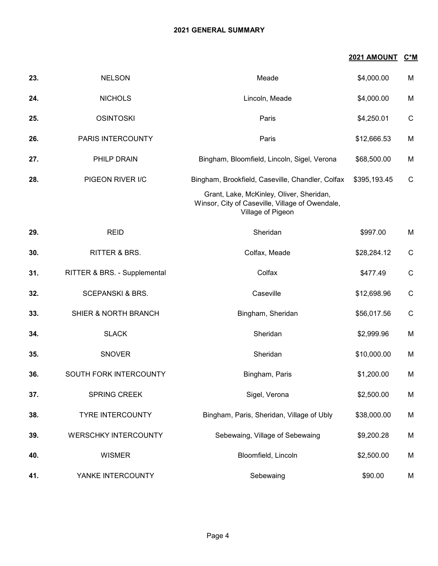## **2021 GENERAL SUMMARY**

## **2021 AMOUNT C\*M**

| 23. | <b>NELSON</b>                | Meade                                                                                                            | \$4,000.00   | M            |
|-----|------------------------------|------------------------------------------------------------------------------------------------------------------|--------------|--------------|
| 24. | <b>NICHOLS</b>               | Lincoln, Meade                                                                                                   | \$4,000.00   | M            |
| 25. | <b>OSINTOSKI</b>             | Paris                                                                                                            | \$4,250.01   | $\mathsf{C}$ |
| 26. | PARIS INTERCOUNTY            | Paris                                                                                                            | \$12,666.53  | M            |
| 27. | PHILP DRAIN                  | Bingham, Bloomfield, Lincoln, Sigel, Verona                                                                      | \$68,500.00  | M            |
| 28. | PIGEON RIVER I/C             | Bingham, Brookfield, Caseville, Chandler, Colfax                                                                 | \$395,193.45 | $\mathsf{C}$ |
|     |                              | Grant, Lake, McKinley, Oliver, Sheridan,<br>Winsor, City of Caseville, Village of Owendale,<br>Village of Pigeon |              |              |
| 29. | <b>REID</b>                  | Sheridan                                                                                                         | \$997.00     | M            |
| 30. | RITTER & BRS.                | Colfax, Meade                                                                                                    | \$28,284.12  | $\mathsf{C}$ |
| 31. | RITTER & BRS. - Supplemental | Colfax                                                                                                           | \$477.49     | $\mathsf{C}$ |
| 32. | <b>SCEPANSKI &amp; BRS.</b>  | Caseville                                                                                                        | \$12,698.96  | $\mathsf{C}$ |
| 33. | SHIER & NORTH BRANCH         | Bingham, Sheridan                                                                                                | \$56,017.56  | $\mathsf C$  |
| 34. | <b>SLACK</b>                 | Sheridan                                                                                                         | \$2,999.96   | M            |
| 35. | <b>SNOVER</b>                | Sheridan                                                                                                         | \$10,000.00  | M            |
| 36. | SOUTH FORK INTERCOUNTY       | Bingham, Paris                                                                                                   | \$1,200.00   | M            |
| 37. | SPRING CREEK                 | Sigel, Verona                                                                                                    | \$2,500.00   | M            |
| 38. | <b>TYRE INTERCOUNTY</b>      | Bingham, Paris, Sheridan, Village of Ubly                                                                        | \$38,000.00  | M            |
| 39. | <b>WERSCHKY INTERCOUNTY</b>  | Sebewaing, Village of Sebewaing                                                                                  | \$9,200.28   | M            |
| 40. | <b>WISMER</b>                | Bloomfield, Lincoln                                                                                              | \$2,500.00   | M            |
| 41. | YANKE INTERCOUNTY            | Sebewaing                                                                                                        | \$90.00      | M            |